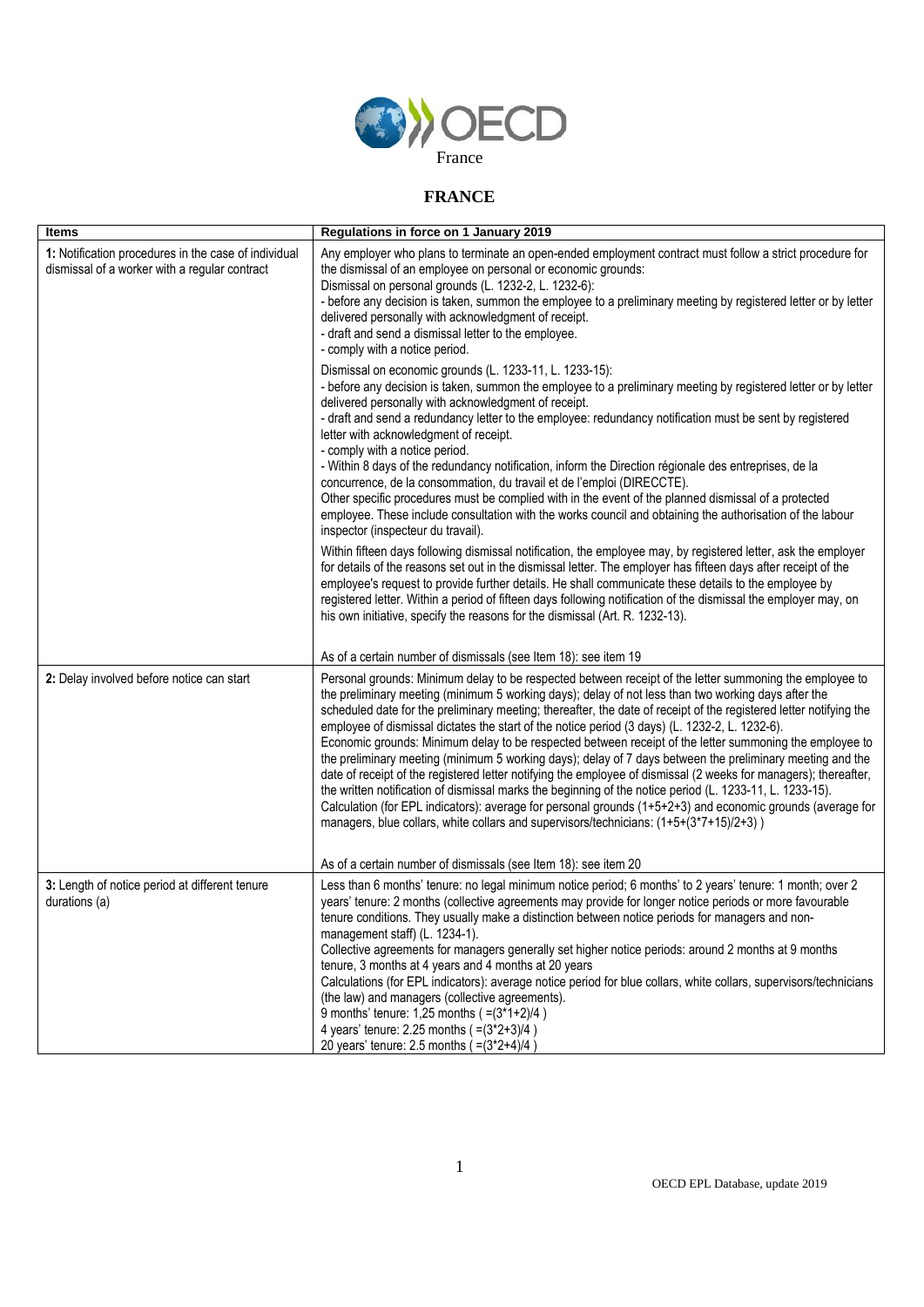

## **FRANCE**

| <b>Items</b>                                                                                          | Regulations in force on 1 January 2019                                                                                                                                                                                                                                                                                                                                                                                                                                                                                                                                                                                                                                                                                                                                                                                                                                                                                                                                                                                                                                                                 |
|-------------------------------------------------------------------------------------------------------|--------------------------------------------------------------------------------------------------------------------------------------------------------------------------------------------------------------------------------------------------------------------------------------------------------------------------------------------------------------------------------------------------------------------------------------------------------------------------------------------------------------------------------------------------------------------------------------------------------------------------------------------------------------------------------------------------------------------------------------------------------------------------------------------------------------------------------------------------------------------------------------------------------------------------------------------------------------------------------------------------------------------------------------------------------------------------------------------------------|
| 1: Notification procedures in the case of individual<br>dismissal of a worker with a regular contract | Any employer who plans to terminate an open-ended employment contract must follow a strict procedure for<br>the dismissal of an employee on personal or economic grounds:<br>Dismissal on personal grounds (L. 1232-2, L. 1232-6):<br>- before any decision is taken, summon the employee to a preliminary meeting by registered letter or by letter<br>delivered personally with acknowledgment of receipt.<br>- draft and send a dismissal letter to the employee.<br>- comply with a notice period.                                                                                                                                                                                                                                                                                                                                                                                                                                                                                                                                                                                                 |
|                                                                                                       | Dismissal on economic grounds (L. 1233-11, L. 1233-15):<br>- before any decision is taken, summon the employee to a preliminary meeting by registered letter or by letter<br>delivered personally with acknowledgment of receipt.<br>- draft and send a redundancy letter to the employee: redundancy notification must be sent by registered<br>letter with acknowledgment of receipt.<br>- comply with a notice period.<br>- Within 8 days of the redundancy notification, inform the Direction régionale des entreprises, de la<br>concurrence, de la consommation, du travail et de l'emploi (DIRECCTE).<br>Other specific procedures must be complied with in the event of the planned dismissal of a protected<br>employee. These include consultation with the works council and obtaining the authorisation of the labour<br>inspector (inspecteur du travail).                                                                                                                                                                                                                                |
|                                                                                                       | Within fifteen days following dismissal notification, the employee may, by registered letter, ask the employer<br>for details of the reasons set out in the dismissal letter. The employer has fifteen days after receipt of the<br>employee's request to provide further details. He shall communicate these details to the employee by<br>registered letter. Within a period of fifteen days following notification of the dismissal the employer may, on<br>his own initiative, specify the reasons for the dismissal (Art. R. 1232-13).                                                                                                                                                                                                                                                                                                                                                                                                                                                                                                                                                            |
|                                                                                                       | As of a certain number of dismissals (see Item 18): see item 19                                                                                                                                                                                                                                                                                                                                                                                                                                                                                                                                                                                                                                                                                                                                                                                                                                                                                                                                                                                                                                        |
| 2: Delay involved before notice can start                                                             | Personal grounds: Minimum delay to be respected between receipt of the letter summoning the employee to<br>the preliminary meeting (minimum 5 working days); delay of not less than two working days after the<br>scheduled date for the preliminary meeting; thereafter, the date of receipt of the registered letter notifying the<br>employee of dismissal dictates the start of the notice period (3 days) (L. 1232-2, L. 1232-6).<br>Economic grounds: Minimum delay to be respected between receipt of the letter summoning the employee to<br>the preliminary meeting (minimum 5 working days); delay of 7 days between the preliminary meeting and the<br>date of receipt of the registered letter notifying the employee of dismissal (2 weeks for managers); thereafter,<br>the written notification of dismissal marks the beginning of the notice period (L. 1233-11, L. 1233-15).<br>Calculation (for EPL indicators): average for personal grounds (1+5+2+3) and economic grounds (average for<br>managers, blue collars, white collars and supervisors/technicians: (1+5+(3*7+15)/2+3)) |
|                                                                                                       | As of a certain number of dismissals (see Item 18): see item 20                                                                                                                                                                                                                                                                                                                                                                                                                                                                                                                                                                                                                                                                                                                                                                                                                                                                                                                                                                                                                                        |
| 3: Length of notice period at different tenure<br>durations (a)                                       | Less than 6 months' tenure: no legal minimum notice period; 6 months' to 2 years' tenure: 1 month; over 2<br>years' tenure: 2 months (collective agreements may provide for longer notice periods or more favourable<br>tenure conditions. They usually make a distinction between notice periods for managers and non-<br>management staff) (L. 1234-1).<br>Collective agreements for managers generally set higher notice periods: around 2 months at 9 months<br>tenure, 3 months at 4 years and 4 months at 20 years<br>Calculations (for EPL indicators): average notice period for blue collars, white collars, supervisors/technicians<br>(the law) and managers (collective agreements).<br>9 months' tenure: $1,25$ months $(=(3*1+2)/4)$<br>4 years' tenure: 2.25 months $(=(3*2+3)/4)$<br>20 years' tenure: 2.5 months $(=(3*2+4)/4)$                                                                                                                                                                                                                                                       |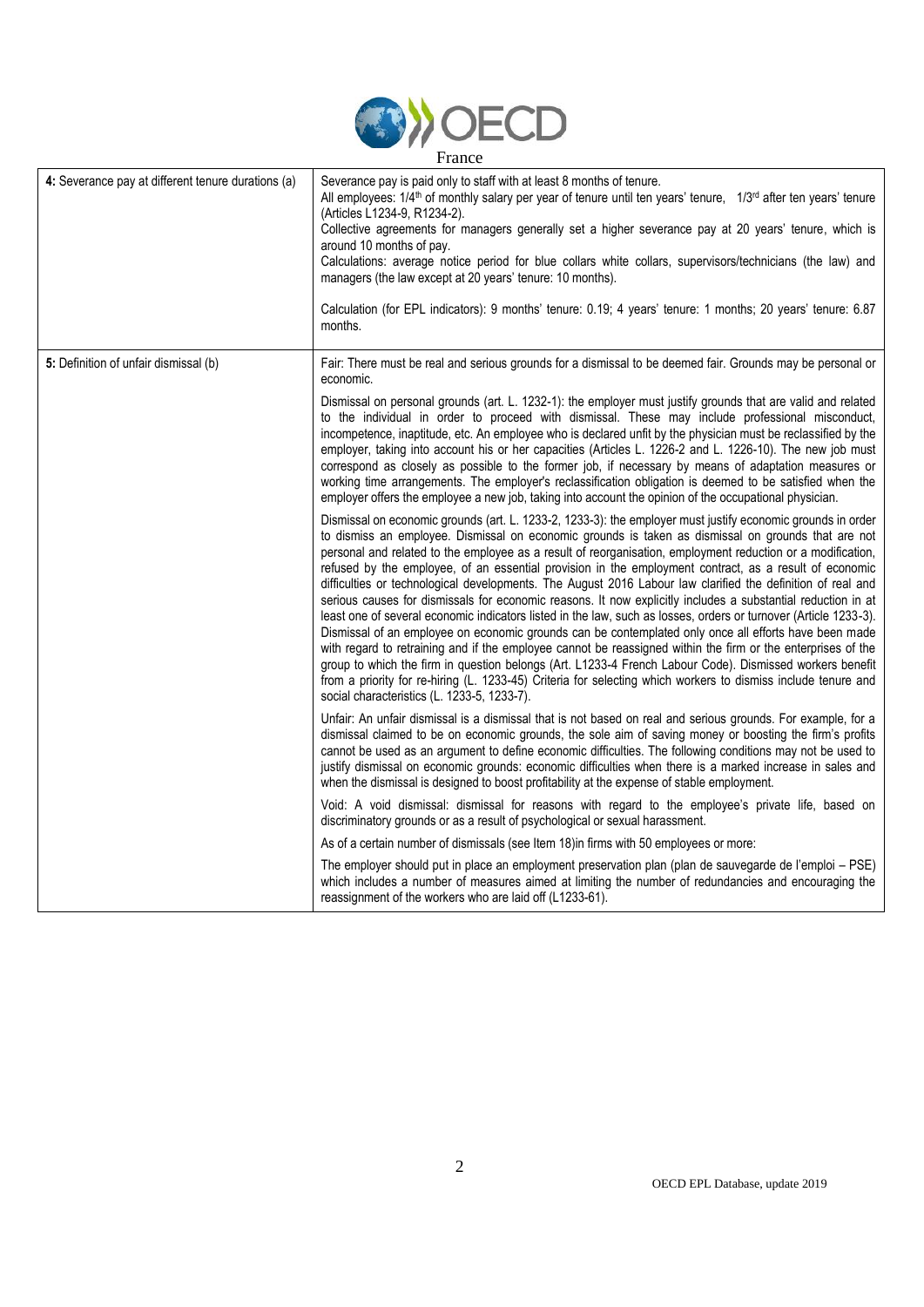

| Trance                                             |                                                                                                                                                                                                                                                                                                                                                                                                                                                                                                                                                                                                                                                                                                                                                                                                                                                                                                                                                                                                                                                                                                                                                                                                                                                                                                     |
|----------------------------------------------------|-----------------------------------------------------------------------------------------------------------------------------------------------------------------------------------------------------------------------------------------------------------------------------------------------------------------------------------------------------------------------------------------------------------------------------------------------------------------------------------------------------------------------------------------------------------------------------------------------------------------------------------------------------------------------------------------------------------------------------------------------------------------------------------------------------------------------------------------------------------------------------------------------------------------------------------------------------------------------------------------------------------------------------------------------------------------------------------------------------------------------------------------------------------------------------------------------------------------------------------------------------------------------------------------------------|
| 4: Severance pay at different tenure durations (a) | Severance pay is paid only to staff with at least 8 months of tenure.<br>All employees: $1/4$ <sup>th</sup> of monthly salary per year of tenure until ten years' tenure, $1/3$ <sup>rd</sup> after ten years' tenure<br>(Articles L1234-9, R1234-2).<br>Collective agreements for managers generally set a higher severance pay at 20 years' tenure, which is<br>around 10 months of pay.<br>Calculations: average notice period for blue collars white collars, supervisors/technicians (the law) and<br>managers (the law except at 20 years' tenure: 10 months).<br>Calculation (for EPL indicators): 9 months' tenure: 0.19; 4 years' tenure: 1 months; 20 years' tenure: 6.87<br>months.                                                                                                                                                                                                                                                                                                                                                                                                                                                                                                                                                                                                      |
| 5: Definition of unfair dismissal (b)              | Fair: There must be real and serious grounds for a dismissal to be deemed fair. Grounds may be personal or<br>economic.<br>Dismissal on personal grounds (art. L. 1232-1): the employer must justify grounds that are valid and related<br>to the individual in order to proceed with dismissal. These may include professional misconduct,<br>incompetence, inaptitude, etc. An employee who is declared unfit by the physician must be reclassified by the<br>employer, taking into account his or her capacities (Articles L. 1226-2 and L. 1226-10). The new job must<br>correspond as closely as possible to the former job, if necessary by means of adaptation measures or<br>working time arrangements. The employer's reclassification obligation is deemed to be satisfied when the<br>employer offers the employee a new job, taking into account the opinion of the occupational physician.                                                                                                                                                                                                                                                                                                                                                                                             |
|                                                    | Dismissal on economic grounds (art. L. 1233-2, 1233-3): the employer must justify economic grounds in order<br>to dismiss an employee. Dismissal on economic grounds is taken as dismissal on grounds that are not<br>personal and related to the employee as a result of reorganisation, employment reduction or a modification,<br>refused by the employee, of an essential provision in the employment contract, as a result of economic<br>difficulties or technological developments. The August 2016 Labour law clarified the definition of real and<br>serious causes for dismissals for economic reasons. It now explicitly includes a substantial reduction in at<br>least one of several economic indicators listed in the law, such as losses, orders or turnover (Article 1233-3).<br>Dismissal of an employee on economic grounds can be contemplated only once all efforts have been made<br>with regard to retraining and if the employee cannot be reassigned within the firm or the enterprises of the<br>group to which the firm in question belongs (Art. L1233-4 French Labour Code). Dismissed workers benefit<br>from a priority for re-hiring (L. 1233-45) Criteria for selecting which workers to dismiss include tenure and<br>social characteristics (L. 1233-5, 1233-7). |
|                                                    | Unfair: An unfair dismissal is a dismissal that is not based on real and serious grounds. For example, for a<br>dismissal claimed to be on economic grounds, the sole aim of saving money or boosting the firm's profits<br>cannot be used as an argument to define economic difficulties. The following conditions may not be used to<br>justify dismissal on economic grounds: economic difficulties when there is a marked increase in sales and<br>when the dismissal is designed to boost profitability at the expense of stable employment.                                                                                                                                                                                                                                                                                                                                                                                                                                                                                                                                                                                                                                                                                                                                                   |
|                                                    | Void: A void dismissal: dismissal for reasons with regard to the employee's private life, based on<br>discriminatory grounds or as a result of psychological or sexual harassment.                                                                                                                                                                                                                                                                                                                                                                                                                                                                                                                                                                                                                                                                                                                                                                                                                                                                                                                                                                                                                                                                                                                  |
|                                                    | As of a certain number of dismissals (see Item 18) in firms with 50 employees or more:                                                                                                                                                                                                                                                                                                                                                                                                                                                                                                                                                                                                                                                                                                                                                                                                                                                                                                                                                                                                                                                                                                                                                                                                              |
|                                                    | The employer should put in place an employment preservation plan (plan de sauvegarde de l'emploi – PSE)<br>which includes a number of measures aimed at limiting the number of redundancies and encouraging the<br>reassignment of the workers who are laid off (L1233-61).                                                                                                                                                                                                                                                                                                                                                                                                                                                                                                                                                                                                                                                                                                                                                                                                                                                                                                                                                                                                                         |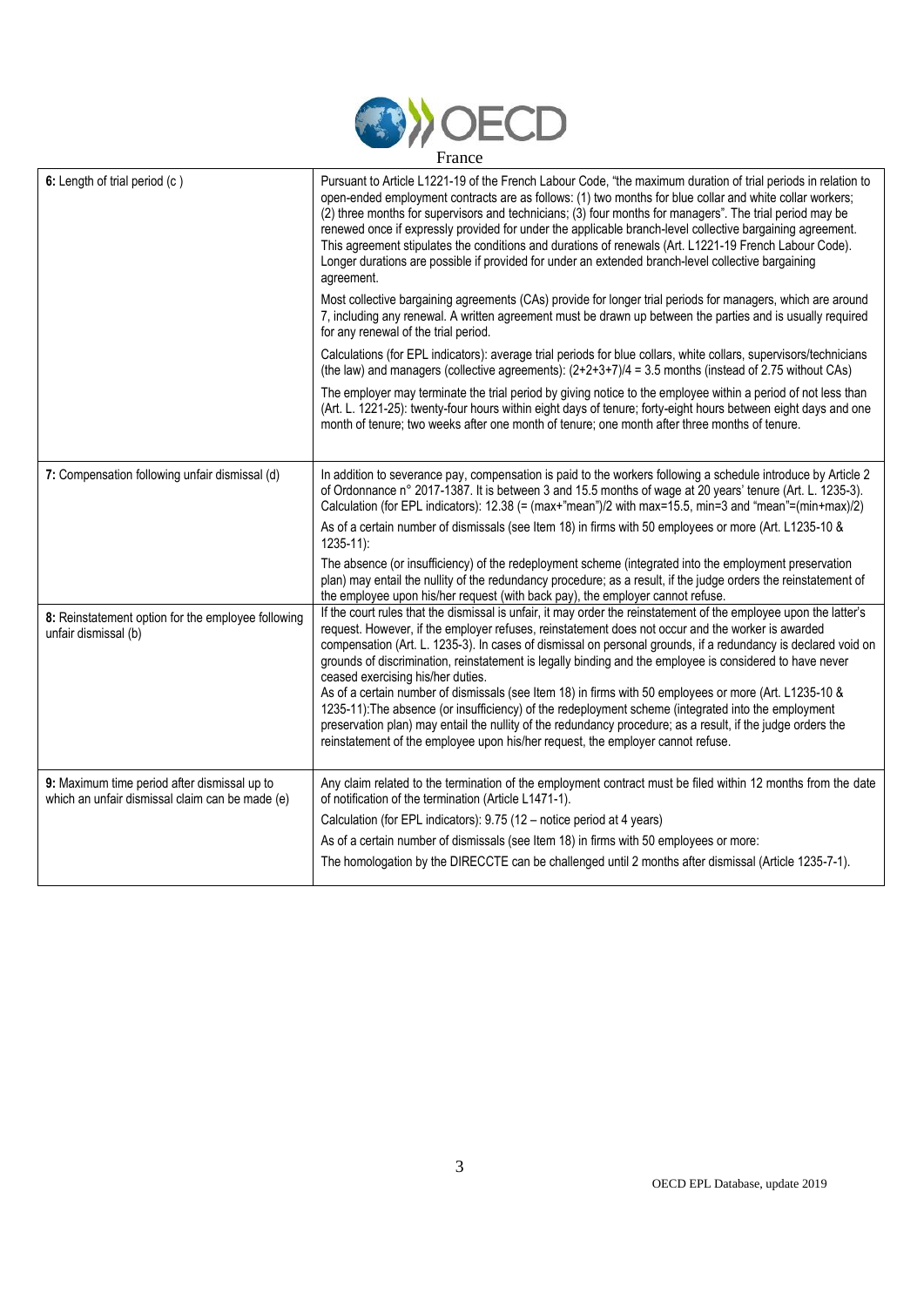

| 6: Length of trial period (c)                                                                   | Pursuant to Article L1221-19 of the French Labour Code, "the maximum duration of trial periods in relation to<br>open-ended employment contracts are as follows: (1) two months for blue collar and white collar workers;<br>(2) three months for supervisors and technicians; (3) four months for managers". The trial period may be<br>renewed once if expressly provided for under the applicable branch-level collective bargaining agreement.<br>This agreement stipulates the conditions and durations of renewals (Art. L1221-19 French Labour Code).<br>Longer durations are possible if provided for under an extended branch-level collective bargaining<br>agreement.                                                                                                                                                                                                                            |
|-------------------------------------------------------------------------------------------------|-------------------------------------------------------------------------------------------------------------------------------------------------------------------------------------------------------------------------------------------------------------------------------------------------------------------------------------------------------------------------------------------------------------------------------------------------------------------------------------------------------------------------------------------------------------------------------------------------------------------------------------------------------------------------------------------------------------------------------------------------------------------------------------------------------------------------------------------------------------------------------------------------------------|
|                                                                                                 | Most collective bargaining agreements (CAs) provide for longer trial periods for managers, which are around<br>7, including any renewal. A written agreement must be drawn up between the parties and is usually required<br>for any renewal of the trial period.                                                                                                                                                                                                                                                                                                                                                                                                                                                                                                                                                                                                                                           |
|                                                                                                 | Calculations (for EPL indicators): average trial periods for blue collars, white collars, supervisors/technicians<br>(the law) and managers (collective agreements): $(2+2+3+7)/4 = 3.5$ months (instead of 2.75 without CAs)                                                                                                                                                                                                                                                                                                                                                                                                                                                                                                                                                                                                                                                                               |
|                                                                                                 | The employer may terminate the trial period by giving notice to the employee within a period of not less than<br>(Art. L. 1221-25): twenty-four hours within eight days of tenure; forty-eight hours between eight days and one<br>month of tenure; two weeks after one month of tenure; one month after three months of tenure.                                                                                                                                                                                                                                                                                                                                                                                                                                                                                                                                                                            |
| 7: Compensation following unfair dismissal (d)                                                  | In addition to severance pay, compensation is paid to the workers following a schedule introduce by Article 2<br>of Ordonnance n° 2017-1387. It is between 3 and 15.5 months of wage at 20 years' tenure (Art. L. 1235-3).<br>Calculation (for EPL indicators): 12.38 (= (max+"mean")/2 with max=15.5, min=3 and "mean"=(min+max)/2)                                                                                                                                                                                                                                                                                                                                                                                                                                                                                                                                                                        |
|                                                                                                 | As of a certain number of dismissals (see Item 18) in firms with 50 employees or more (Art. L1235-10 &<br>$1235 - 11$ :                                                                                                                                                                                                                                                                                                                                                                                                                                                                                                                                                                                                                                                                                                                                                                                     |
|                                                                                                 | The absence (or insufficiency) of the redeployment scheme (integrated into the employment preservation<br>plan) may entail the nullity of the redundancy procedure; as a result, if the judge orders the reinstatement of<br>the employee upon his/her request (with back pay), the employer cannot refuse.                                                                                                                                                                                                                                                                                                                                                                                                                                                                                                                                                                                                 |
| 8: Reinstatement option for the employee following<br>unfair dismissal (b)                      | If the court rules that the dismissal is unfair, it may order the reinstatement of the employee upon the latter's<br>request. However, if the employer refuses, reinstatement does not occur and the worker is awarded<br>compensation (Art. L. 1235-3). In cases of dismissal on personal grounds, if a redundancy is declared void on<br>grounds of discrimination, reinstatement is legally binding and the employee is considered to have never<br>ceased exercising his/her duties.<br>As of a certain number of dismissals (see Item 18) in firms with 50 employees or more (Art. L1235-10 &<br>1235-11): The absence (or insufficiency) of the redeployment scheme (integrated into the employment<br>preservation plan) may entail the nullity of the redundancy procedure; as a result, if the judge orders the<br>reinstatement of the employee upon his/her request, the employer cannot refuse. |
| 9: Maximum time period after dismissal up to<br>which an unfair dismissal claim can be made (e) | Any claim related to the termination of the employment contract must be filed within 12 months from the date<br>of notification of the termination (Article L1471-1).<br>Calculation (for EPL indicators): 9.75 (12 - notice period at 4 years)<br>As of a certain number of dismissals (see Item 18) in firms with 50 employees or more:<br>The homologation by the DIRECCTE can be challenged until 2 months after dismissal (Article 1235-7-1).                                                                                                                                                                                                                                                                                                                                                                                                                                                          |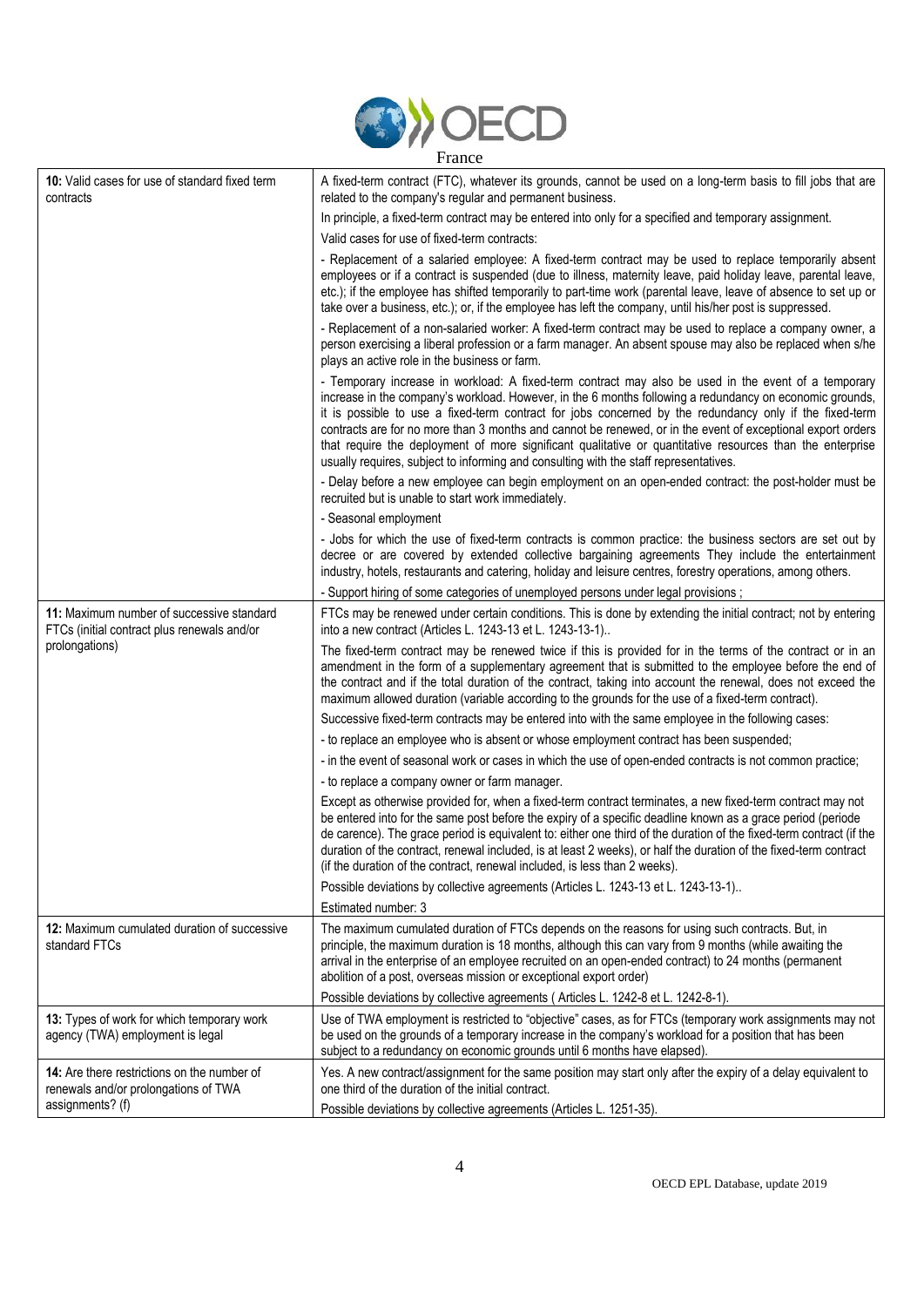

| 10: Valid cases for use of standard fixed term<br>contracts                              | A fixed-term contract (FTC), whatever its grounds, cannot be used on a long-term basis to fill jobs that are<br>related to the company's regular and permanent business.                                                                                                                                                                                                                                                                                                                                                                                                                                                                         |
|------------------------------------------------------------------------------------------|--------------------------------------------------------------------------------------------------------------------------------------------------------------------------------------------------------------------------------------------------------------------------------------------------------------------------------------------------------------------------------------------------------------------------------------------------------------------------------------------------------------------------------------------------------------------------------------------------------------------------------------------------|
|                                                                                          | In principle, a fixed-term contract may be entered into only for a specified and temporary assignment.                                                                                                                                                                                                                                                                                                                                                                                                                                                                                                                                           |
|                                                                                          | Valid cases for use of fixed-term contracts:                                                                                                                                                                                                                                                                                                                                                                                                                                                                                                                                                                                                     |
|                                                                                          | - Replacement of a salaried employee: A fixed-term contract may be used to replace temporarily absent<br>employees or if a contract is suspended (due to illness, maternity leave, paid holiday leave, parental leave,<br>etc.); if the employee has shifted temporarily to part-time work (parental leave, leave of absence to set up or<br>take over a business, etc.); or, if the employee has left the company, until his/her post is suppressed.                                                                                                                                                                                            |
|                                                                                          | - Replacement of a non-salaried worker: A fixed-term contract may be used to replace a company owner, a<br>person exercising a liberal profession or a farm manager. An absent spouse may also be replaced when s/he<br>plays an active role in the business or farm.                                                                                                                                                                                                                                                                                                                                                                            |
|                                                                                          | - Temporary increase in workload: A fixed-term contract may also be used in the event of a temporary<br>increase in the company's workload. However, in the 6 months following a redundancy on economic grounds,<br>it is possible to use a fixed-term contract for jobs concerned by the redundancy only if the fixed-term<br>contracts are for no more than 3 months and cannot be renewed, or in the event of exceptional export orders<br>that require the deployment of more significant qualitative or quantitative resources than the enterprise<br>usually requires, subject to informing and consulting with the staff representatives. |
|                                                                                          | - Delay before a new employee can begin employment on an open-ended contract: the post-holder must be<br>recruited but is unable to start work immediately.                                                                                                                                                                                                                                                                                                                                                                                                                                                                                      |
|                                                                                          | - Seasonal employment                                                                                                                                                                                                                                                                                                                                                                                                                                                                                                                                                                                                                            |
|                                                                                          | - Jobs for which the use of fixed-term contracts is common practice: the business sectors are set out by<br>decree or are covered by extended collective bargaining agreements They include the entertainment<br>industry, hotels, restaurants and catering, holiday and leisure centres, forestry operations, among others.                                                                                                                                                                                                                                                                                                                     |
|                                                                                          | - Support hiring of some categories of unemployed persons under legal provisions;                                                                                                                                                                                                                                                                                                                                                                                                                                                                                                                                                                |
| 11: Maximum number of successive standard<br>FTCs (initial contract plus renewals and/or | FTCs may be renewed under certain conditions. This is done by extending the initial contract; not by entering<br>into a new contract (Articles L. 1243-13 et L. 1243-13-1)                                                                                                                                                                                                                                                                                                                                                                                                                                                                       |
| prolongations)                                                                           | The fixed-term contract may be renewed twice if this is provided for in the terms of the contract or in an<br>amendment in the form of a supplementary agreement that is submitted to the employee before the end of<br>the contract and if the total duration of the contract, taking into account the renewal, does not exceed the<br>maximum allowed duration (variable according to the grounds for the use of a fixed-term contract).                                                                                                                                                                                                       |
|                                                                                          | Successive fixed-term contracts may be entered into with the same employee in the following cases:                                                                                                                                                                                                                                                                                                                                                                                                                                                                                                                                               |
|                                                                                          | - to replace an employee who is absent or whose employment contract has been suspended;                                                                                                                                                                                                                                                                                                                                                                                                                                                                                                                                                          |
|                                                                                          | - in the event of seasonal work or cases in which the use of open-ended contracts is not common practice;                                                                                                                                                                                                                                                                                                                                                                                                                                                                                                                                        |
|                                                                                          | - to replace a company owner or farm manager.                                                                                                                                                                                                                                                                                                                                                                                                                                                                                                                                                                                                    |
|                                                                                          | Except as otherwise provided for, when a fixed-term contract terminates, a new fixed-term contract may not<br>be entered into for the same post before the expiry of a specific deadline known as a grace period (periode<br>de carence). The grace period is equivalent to: either one third of the duration of the fixed-term contract (if the<br>duration of the contract, renewal included, is at least 2 weeks), or half the duration of the fixed-term contract<br>(if the duration of the contract, renewal included, is less than 2 weeks).                                                                                              |
|                                                                                          | Possible deviations by collective agreements (Articles L. 1243-13 et L. 1243-13-1)                                                                                                                                                                                                                                                                                                                                                                                                                                                                                                                                                               |
|                                                                                          | Estimated number: 3                                                                                                                                                                                                                                                                                                                                                                                                                                                                                                                                                                                                                              |
| 12: Maximum cumulated duration of successive<br>standard FTCs                            | The maximum cumulated duration of FTCs depends on the reasons for using such contracts. But, in<br>principle, the maximum duration is 18 months, although this can vary from 9 months (while awaiting the<br>arrival in the enterprise of an employee recruited on an open-ended contract) to 24 months (permanent<br>abolition of a post, overseas mission or exceptional export order)                                                                                                                                                                                                                                                         |
|                                                                                          | Possible deviations by collective agreements (Articles L. 1242-8 et L. 1242-8-1).                                                                                                                                                                                                                                                                                                                                                                                                                                                                                                                                                                |
| 13: Types of work for which temporary work<br>agency (TWA) employment is legal           | Use of TWA employment is restricted to "objective" cases, as for FTCs (temporary work assignments may not<br>be used on the grounds of a temporary increase in the company's workload for a position that has been<br>subject to a redundancy on economic grounds until 6 months have elapsed).                                                                                                                                                                                                                                                                                                                                                  |
| 14: Are there restrictions on the number of<br>renewals and/or prolongations of TWA      | Yes. A new contract/assignment for the same position may start only after the expiry of a delay equivalent to<br>one third of the duration of the initial contract.                                                                                                                                                                                                                                                                                                                                                                                                                                                                              |
| assignments? (f)                                                                         | Possible deviations by collective agreements (Articles L. 1251-35).                                                                                                                                                                                                                                                                                                                                                                                                                                                                                                                                                                              |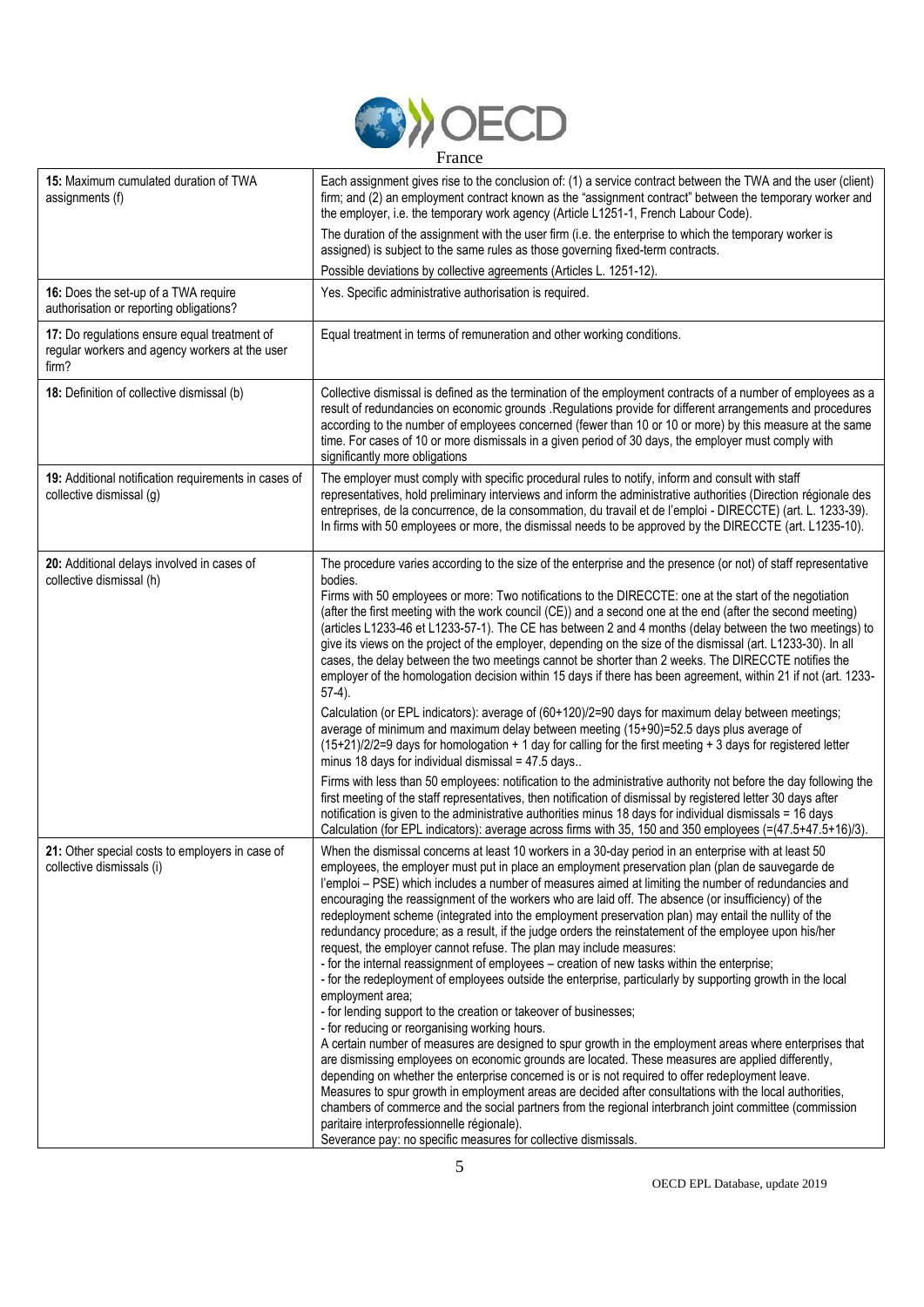

| 15: Maximum cumulated duration of TWA<br>assignments (f)                                                | Each assignment gives rise to the conclusion of: (1) a service contract between the TWA and the user (client)<br>firm; and (2) an employment contract known as the "assignment contract" between the temporary worker and<br>the employer, i.e. the temporary work agency (Article L1251-1, French Labour Code).                                                                                                                                                                                                                                                                                                                                                                                                                                                                                                                                                                                                                                                                                                                                                                                                                                                                                                                                                                                                                                                                                                                                                                                                                                                                                                                                                                                                               |
|---------------------------------------------------------------------------------------------------------|--------------------------------------------------------------------------------------------------------------------------------------------------------------------------------------------------------------------------------------------------------------------------------------------------------------------------------------------------------------------------------------------------------------------------------------------------------------------------------------------------------------------------------------------------------------------------------------------------------------------------------------------------------------------------------------------------------------------------------------------------------------------------------------------------------------------------------------------------------------------------------------------------------------------------------------------------------------------------------------------------------------------------------------------------------------------------------------------------------------------------------------------------------------------------------------------------------------------------------------------------------------------------------------------------------------------------------------------------------------------------------------------------------------------------------------------------------------------------------------------------------------------------------------------------------------------------------------------------------------------------------------------------------------------------------------------------------------------------------|
|                                                                                                         | The duration of the assignment with the user firm (i.e. the enterprise to which the temporary worker is<br>assigned) is subject to the same rules as those governing fixed-term contracts.                                                                                                                                                                                                                                                                                                                                                                                                                                                                                                                                                                                                                                                                                                                                                                                                                                                                                                                                                                                                                                                                                                                                                                                                                                                                                                                                                                                                                                                                                                                                     |
|                                                                                                         | Possible deviations by collective agreements (Articles L. 1251-12).                                                                                                                                                                                                                                                                                                                                                                                                                                                                                                                                                                                                                                                                                                                                                                                                                                                                                                                                                                                                                                                                                                                                                                                                                                                                                                                                                                                                                                                                                                                                                                                                                                                            |
| 16: Does the set-up of a TWA require<br>authorisation or reporting obligations?                         | Yes. Specific administrative authorisation is required.                                                                                                                                                                                                                                                                                                                                                                                                                                                                                                                                                                                                                                                                                                                                                                                                                                                                                                                                                                                                                                                                                                                                                                                                                                                                                                                                                                                                                                                                                                                                                                                                                                                                        |
| 17: Do regulations ensure equal treatment of<br>regular workers and agency workers at the user<br>firm? | Equal treatment in terms of remuneration and other working conditions.                                                                                                                                                                                                                                                                                                                                                                                                                                                                                                                                                                                                                                                                                                                                                                                                                                                                                                                                                                                                                                                                                                                                                                                                                                                                                                                                                                                                                                                                                                                                                                                                                                                         |
| 18: Definition of collective dismissal (b)                                                              | Collective dismissal is defined as the termination of the employment contracts of a number of employees as a<br>result of redundancies on economic grounds . Regulations provide for different arrangements and procedures<br>according to the number of employees concerned (fewer than 10 or 10 or more) by this measure at the same<br>time. For cases of 10 or more dismissals in a given period of 30 days, the employer must comply with<br>significantly more obligations                                                                                                                                                                                                                                                                                                                                                                                                                                                                                                                                                                                                                                                                                                                                                                                                                                                                                                                                                                                                                                                                                                                                                                                                                                               |
| 19: Additional notification requirements in cases of<br>collective dismissal (g)                        | The employer must comply with specific procedural rules to notify, inform and consult with staff<br>representatives, hold preliminary interviews and inform the administrative authorities (Direction régionale des<br>entreprises, de la concurrence, de la consommation, du travail et de l'emploi - DIRECCTE) (art. L. 1233-39).<br>In firms with 50 employees or more, the dismissal needs to be approved by the DIRECCTE (art. L1235-10).                                                                                                                                                                                                                                                                                                                                                                                                                                                                                                                                                                                                                                                                                                                                                                                                                                                                                                                                                                                                                                                                                                                                                                                                                                                                                 |
| 20: Additional delays involved in cases of<br>collective dismissal (h)                                  | The procedure varies according to the size of the enterprise and the presence (or not) of staff representative<br>bodies.<br>Firms with 50 employees or more: Two notifications to the DIRECCTE: one at the start of the negotiation<br>(after the first meeting with the work council (CE)) and a second one at the end (after the second meeting)<br>(articles L1233-46 et L1233-57-1). The CE has between 2 and 4 months (delay between the two meetings) to<br>give its views on the project of the employer, depending on the size of the dismissal (art. L1233-30). In all<br>cases, the delay between the two meetings cannot be shorter than 2 weeks. The DIRECCTE notifies the<br>employer of the homologation decision within 15 days if there has been agreement, within 21 if not (art. 1233-<br>$57-4$ ).<br>Calculation (or EPL indicators): average of (60+120)/2=90 days for maximum delay between meetings;<br>average of minimum and maximum delay between meeting (15+90)=52.5 days plus average of                                                                                                                                                                                                                                                                                                                                                                                                                                                                                                                                                                                                                                                                                                         |
|                                                                                                         | $(15+21)/2/2=9$ days for homologation + 1 day for calling for the first meeting + 3 days for registered letter<br>minus 18 days for individual dismissal = 47.5 days<br>Firms with less than 50 employees: notification to the administrative authority not before the day following the<br>first meeting of the staff representatives, then notification of dismissal by registered letter 30 days after<br>notification is given to the administrative authorities minus 18 days for individual dismissals = 16 days<br>Calculation (for EPL indicators): average across firms with 35, 150 and 350 employees (=(47.5+47.5+16)/3).                                                                                                                                                                                                                                                                                                                                                                                                                                                                                                                                                                                                                                                                                                                                                                                                                                                                                                                                                                                                                                                                                           |
| 21: Other special costs to employers in case of<br>collective dismissals (i)                            | When the dismissal concerns at least 10 workers in a 30-day period in an enterprise with at least 50<br>employees, the employer must put in place an employment preservation plan (plan de sauvegarde de<br>l'emploi - PSE) which includes a number of measures aimed at limiting the number of redundancies and<br>encouraging the reassignment of the workers who are laid off. The absence (or insufficiency) of the<br>redeployment scheme (integrated into the employment preservation plan) may entail the nullity of the<br>redundancy procedure; as a result, if the judge orders the reinstatement of the employee upon his/her<br>request, the employer cannot refuse. The plan may include measures:<br>- for the internal reassignment of employees - creation of new tasks within the enterprise;<br>- for the redeployment of employees outside the enterprise, particularly by supporting growth in the local<br>employment area;<br>- for lending support to the creation or takeover of businesses;<br>- for reducing or reorganising working hours.<br>A certain number of measures are designed to spur growth in the employment areas where enterprises that<br>are dismissing employees on economic grounds are located. These measures are applied differently,<br>depending on whether the enterprise concerned is or is not required to offer redeployment leave.<br>Measures to spur growth in employment areas are decided after consultations with the local authorities,<br>chambers of commerce and the social partners from the regional interbranch joint committee (commission<br>paritaire interprofessionnelle régionale).<br>Severance pay: no specific measures for collective dismissals. |